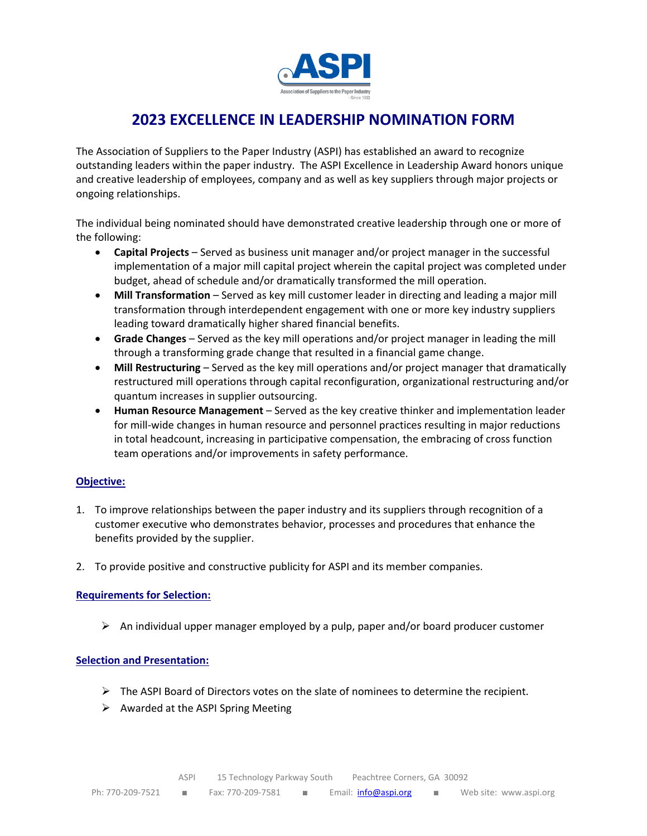

# **2023 EXCELLENCE IN LEADERSHIP NOMINATION FORM**

The Association of Suppliers to the Paper Industry (ASPI) has established an award to recognize outstanding leaders within the paper industry. The ASPI Excellence in Leadership Award honors unique and creative leadership of employees, company and as well as key suppliers through major projects or ongoing relationships.

The individual being nominated should have demonstrated creative leadership through one or more of the following:

- **Capital Projects** Served as business unit manager and/or project manager in the successful implementation of a major mill capital project wherein the capital project was completed under budget, ahead of schedule and/or dramatically transformed the mill operation.
- **Mill Transformation** Served as key mill customer leader in directing and leading a major mill transformation through interdependent engagement with one or more key industry suppliers leading toward dramatically higher shared financial benefits.
- **Grade Changes** Served as the key mill operations and/or project manager in leading the mill through a transforming grade change that resulted in a financial game change.
- **Mill Restructuring** Served as the key mill operations and/or project manager that dramatically restructured mill operations through capital reconfiguration, organizational restructuring and/or quantum increases in supplier outsourcing.
- **Human Resource Management** Served as the key creative thinker and implementation leader for mill-wide changes in human resource and personnel practices resulting in major reductions in total headcount, increasing in participative compensation, the embracing of cross function team operations and/or improvements in safety performance.

### **Objective:**

- 1. To improve relationships between the paper industry and its suppliers through recognition of a customer executive who demonstrates behavior, processes and procedures that enhance the benefits provided by the supplier.
- 2. To provide positive and constructive publicity for ASPI and its member companies.

#### **Requirements for Selection:**

 $\triangleright$  An individual upper manager employed by a pulp, paper and/or board producer customer

#### **Selection and Presentation:**

- $\triangleright$  The ASPI Board of Directors votes on the slate of nominees to determine the recipient.
- $\triangleright$  Awarded at the ASPI Spring Meeting